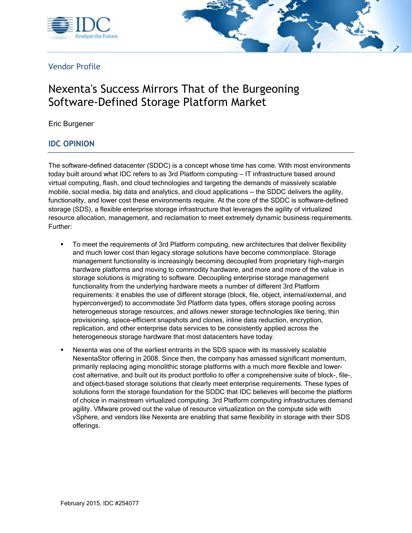



Vendor Profile

# Nexenta's Success Mirrors That of the Burgeoning Software-Defined Storage Platform Market

Eric Burgener

#### IDC OPINION

The software-defined datacenter (SDDC) is a concept whose time has come. With most environments today built around what IDC refers to as 3rd Platform computing — IT infrastructure based around virtual computing, flash, and cloud technologies and targeting the demands of massively scalable mobile, social media, big data and analytics, and cloud applications — the SDDC delivers the agility, functionality, and lower cost these environments require. At the core of the SDDC is software-defined storage (SDS), a flexible enterprise storage infrastructure that leverages the agility of virtualized resource allocation, management, and reclamation to meet extremely dynamic business requirements. Further:

- To meet the requirements of 3rd Platform computing, new architectures that deliver flexibility and much lower cost than legacy storage solutions have become commonplace. Storage management functionality is increasingly becoming decoupled from proprietary high-margin hardware platforms and moving to commodity hardware, and more and more of the value in storage solutions is migrating to software. Decoupling enterprise storage management functionality from the underlying hardware meets a number of different 3rd Platform requirements: it enables the use of different storage (block, file, object, internal/external, and hyperconverged) to accommodate 3rd Platform data types, offers storage pooling across heterogeneous storage resources, and allows newer storage technologies like tiering, thin provisioning, space-efficient snapshots and clones, inline data reduction, encryption, replication, and other enterprise data services to be consistently applied across the heterogeneous storage hardware that most datacenters have today.
- Nexenta was one of the earliest entrants in the SDS space with its massively scalable NexentaStor offering in 2008. Since then, the company has amassed significant momentum, primarily replacing aging monolithic storage platforms with a much more flexible and lowercost alternative, and built out its product portfolio to offer a comprehensive suite of block-, file-, and object-based storage solutions that clearly meet enterprise requirements. These types of solutions form the storage foundation for the SDDC that IDC believes will become the platform of choice in mainstream virtualized computing. 3rd Platform computing infrastructures demand agility. VMware proved out the value of resource virtualization on the compute side with vSphere, and vendors like Nexenta are enabling that same flexibility in storage with their SDS offerings.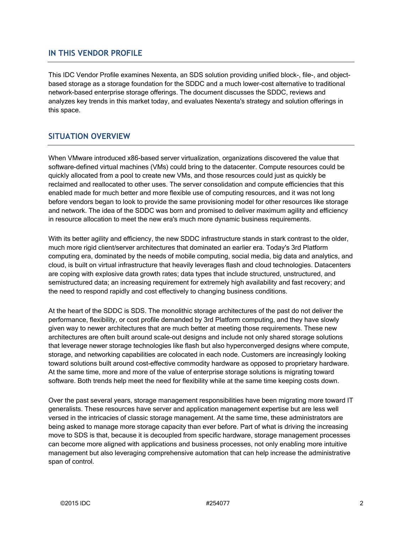#### IN THIS VENDOR PROFILE

This IDC Vendor Profile examines Nexenta, an SDS solution providing unified block-, file-, and objectbased storage as a storage foundation for the SDDC and a much lower-cost alternative to traditional network-based enterprise storage offerings. The document discusses the SDDC, reviews and analyzes key trends in this market today, and evaluates Nexenta's strategy and solution offerings in this space.

#### SITUATION OVERVIEW

When VMware introduced x86-based server virtualization, organizations discovered the value that software-defined virtual machines (VMs) could bring to the datacenter. Compute resources could be quickly allocated from a pool to create new VMs, and those resources could just as quickly be reclaimed and reallocated to other uses. The server consolidation and compute efficiencies that this enabled made for much better and more flexible use of computing resources, and it was not long before vendors began to look to provide the same provisioning model for other resources like storage and network. The idea of the SDDC was born and promised to deliver maximum agility and efficiency in resource allocation to meet the new era's much more dynamic business requirements.

With its better agility and efficiency, the new SDDC infrastructure stands in stark contrast to the older, much more rigid client/server architectures that dominated an earlier era. Today's 3rd Platform computing era, dominated by the needs of mobile computing, social media, big data and analytics, and cloud, is built on virtual infrastructure that heavily leverages flash and cloud technologies. Datacenters are coping with explosive data growth rates; data types that include structured, unstructured, and semistructured data; an increasing requirement for extremely high availability and fast recovery; and the need to respond rapidly and cost effectively to changing business conditions.

At the heart of the SDDC is SDS. The monolithic storage architectures of the past do not deliver the performance, flexibility, or cost profile demanded by 3rd Platform computing, and they have slowly given way to newer architectures that are much better at meeting those requirements. These new architectures are often built around scale-out designs and include not only shared storage solutions that leverage newer storage technologies like flash but also hyperconverged designs where compute, storage, and networking capabilities are colocated in each node. Customers are increasingly looking toward solutions built around cost-effective commodity hardware as opposed to proprietary hardware. At the same time, more and more of the value of enterprise storage solutions is migrating toward software. Both trends help meet the need for flexibility while at the same time keeping costs down.

Over the past several years, storage management responsibilities have been migrating more toward IT generalists. These resources have server and application management expertise but are less well versed in the intricacies of classic storage management. At the same time, these administrators are being asked to manage more storage capacity than ever before. Part of what is driving the increasing move to SDS is that, because it is decoupled from specific hardware, storage management processes can become more aligned with applications and business processes, not only enabling more intuitive management but also leveraging comprehensive automation that can help increase the administrative span of control.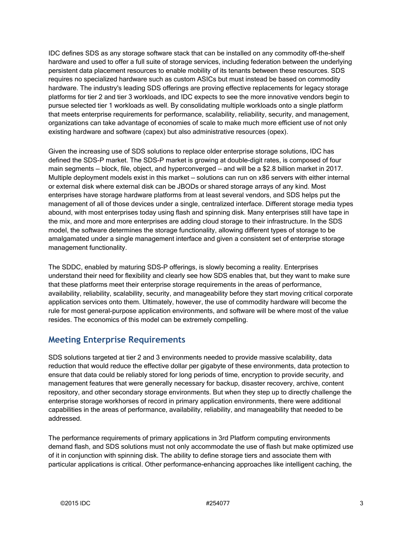IDC defines SDS as any storage software stack that can be installed on any commodity off-the-shelf hardware and used to offer a full suite of storage services, including federation between the underlying persistent data placement resources to enable mobility of its tenants between these resources. SDS requires no specialized hardware such as custom ASICs but must instead be based on commodity hardware. The industry's leading SDS offerings are proving effective replacements for legacy storage platforms for tier 2 and tier 3 workloads, and IDC expects to see the more innovative vendors begin to pursue selected tier 1 workloads as well. By consolidating multiple workloads onto a single platform that meets enterprise requirements for performance, scalability, reliability, security, and management, organizations can take advantage of economies of scale to make much more efficient use of not only existing hardware and software (capex) but also administrative resources (opex).

Given the increasing use of SDS solutions to replace older enterprise storage solutions, IDC has defined the SDS-P market. The SDS-P market is growing at double-digit rates, is composed of four main segments — block, file, object, and hyperconverged — and will be a \$2.8 billion market in 2017. Multiple deployment models exist in this market — solutions can run on x86 servers with either internal or external disk where external disk can be JBODs or shared storage arrays of any kind. Most enterprises have storage hardware platforms from at least several vendors, and SDS helps put the management of all of those devices under a single, centralized interface. Different storage media types abound, with most enterprises today using flash and spinning disk. Many enterprises still have tape in the mix, and more and more enterprises are adding cloud storage to their infrastructure. In the SDS model, the software determines the storage functionality, allowing different types of storage to be amalgamated under a single management interface and given a consistent set of enterprise storage management functionality.

The SDDC, enabled by maturing SDS-P offerings, is slowly becoming a reality. Enterprises understand their need for flexibility and clearly see how SDS enables that, but they want to make sure that these platforms meet their enterprise storage requirements in the areas of performance, availability, reliability, scalability, security, and manageability before they start moving critical corporate application services onto them. Ultimately, however, the use of commodity hardware will become the rule for most general-purpose application environments, and software will be where most of the value resides. The economics of this model can be extremely compelling.

### Meeting Enterprise Requirements

SDS solutions targeted at tier 2 and 3 environments needed to provide massive scalability, data reduction that would reduce the effective dollar per gigabyte of these environments, data protection to ensure that data could be reliably stored for long periods of time, encryption to provide security, and management features that were generally necessary for backup, disaster recovery, archive, content repository, and other secondary storage environments. But when they step up to directly challenge the enterprise storage workhorses of record in primary application environments, there were additional capabilities in the areas of performance, availability, reliability, and manageability that needed to be addressed.

The performance requirements of primary applications in 3rd Platform computing environments demand flash, and SDS solutions must not only accommodate the use of flash but make optimized use of it in conjunction with spinning disk. The ability to define storage tiers and associate them with particular applications is critical. Other performance-enhancing approaches like intelligent caching, the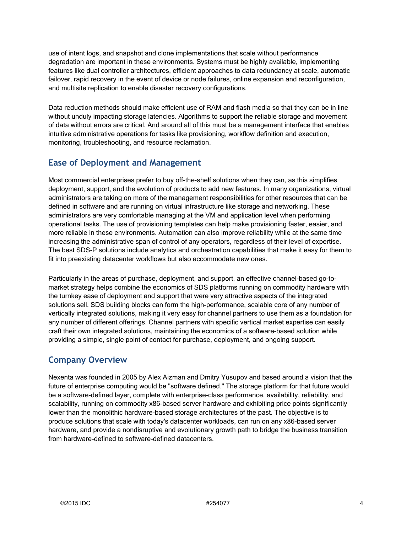use of intent logs, and snapshot and clone implementations that scale without performance degradation are important in these environments. Systems must be highly available, implementing features like dual controller architectures, efficient approaches to data redundancy at scale, automatic failover, rapid recovery in the event of device or node failures, online expansion and reconfiguration, and multisite replication to enable disaster recovery configurations.

Data reduction methods should make efficient use of RAM and flash media so that they can be in line without unduly impacting storage latencies. Algorithms to support the reliable storage and movement of data without errors are critical. And around all of this must be a management interface that enables intuitive administrative operations for tasks like provisioning, workflow definition and execution, monitoring, troubleshooting, and resource reclamation.

## Ease of Deployment and Management

Most commercial enterprises prefer to buy off-the-shelf solutions when they can, as this simplifies deployment, support, and the evolution of products to add new features. In many organizations, virtual administrators are taking on more of the management responsibilities for other resources that can be defined in software and are running on virtual infrastructure like storage and networking. These administrators are very comfortable managing at the VM and application level when performing operational tasks. The use of provisioning templates can help make provisioning faster, easier, and more reliable in these environments. Automation can also improve reliability while at the same time increasing the administrative span of control of any operators, regardless of their level of expertise. The best SDS-P solutions include analytics and orchestration capabilities that make it easy for them to fit into preexisting datacenter workflows but also accommodate new ones.

Particularly in the areas of purchase, deployment, and support, an effective channel-based go-tomarket strategy helps combine the economics of SDS platforms running on commodity hardware with the turnkey ease of deployment and support that were very attractive aspects of the integrated solutions sell. SDS building blocks can form the high-performance, scalable core of any number of vertically integrated solutions, making it very easy for channel partners to use them as a foundation for any number of different offerings. Channel partners with specific vertical market expertise can easily craft their own integrated solutions, maintaining the economics of a software-based solution while providing a simple, single point of contact for purchase, deployment, and ongoing support.

### Company Overview

Nexenta was founded in 2005 by Alex Aizman and Dmitry Yusupov and based around a vision that the future of enterprise computing would be "software defined." The storage platform for that future would be a software-defined layer, complete with enterprise-class performance, availability, reliability, and scalability, running on commodity x86-based server hardware and exhibiting price points significantly lower than the monolithic hardware-based storage architectures of the past. The objective is to produce solutions that scale with today's datacenter workloads, can run on any x86-based server hardware, and provide a nondisruptive and evolutionary growth path to bridge the business transition from hardware-defined to software-defined datacenters.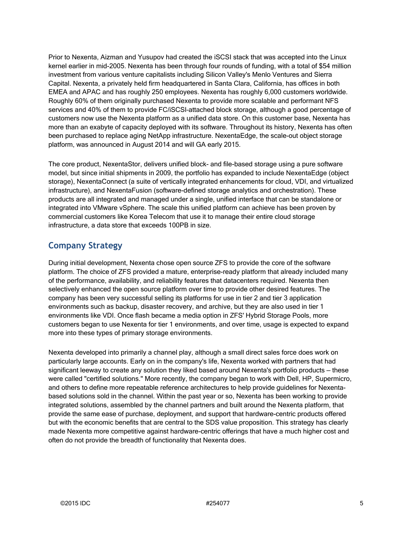Prior to Nexenta, Aizman and Yusupov had created the iSCSI stack that was accepted into the Linux kernel earlier in mid-2005. Nexenta has been through four rounds of funding, with a total of \$54 million investment from various venture capitalists including Silicon Valley's Menlo Ventures and Sierra Capital. Nexenta, a privately held firm headquartered in Santa Clara, California, has offices in both EMEA and APAC and has roughly 250 employees. Nexenta has roughly 6,000 customers worldwide. Roughly 60% of them originally purchased Nexenta to provide more scalable and performant NFS services and 40% of them to provide FC/iSCSI–attached block storage, although a good percentage of customers now use the Nexenta platform as a unified data store. On this customer base, Nexenta has more than an exabyte of capacity deployed with its software. Throughout its history, Nexenta has often been purchased to replace aging NetApp infrastructure. NexentaEdge, the scale-out object storage platform, was announced in August 2014 and will GA early 2015.

The core product, NexentaStor, delivers unified block- and file-based storage using a pure software model, but since initial shipments in 2009, the portfolio has expanded to include NexentaEdge (object storage), NexentaConnect (a suite of vertically integrated enhancements for cloud, VDI, and virtualized infrastructure), and NexentaFusion (software-defined storage analytics and orchestration). These products are all integrated and managed under a single, unified interface that can be standalone or integrated into VMware vSphere. The scale this unified platform can achieve has been proven by commercial customers like Korea Telecom that use it to manage their entire cloud storage infrastructure, a data store that exceeds 100PB in size.

## Company Strategy

During initial development, Nexenta chose open source ZFS to provide the core of the software platform. The choice of ZFS provided a mature, enterprise-ready platform that already included many of the performance, availability, and reliability features that datacenters required. Nexenta then selectively enhanced the open source platform over time to provide other desired features. The company has been very successful selling its platforms for use in tier 2 and tier 3 application environments such as backup, disaster recovery, and archive, but they are also used in tier 1 environments like VDI. Once flash became a media option in ZFS' Hybrid Storage Pools, more customers began to use Nexenta for tier 1 environments, and over time, usage is expected to expand more into these types of primary storage environments.

Nexenta developed into primarily a channel play, although a small direct sales force does work on particularly large accounts. Early on in the company's life, Nexenta worked with partners that had significant leeway to create any solution they liked based around Nexenta's portfolio products — these were called "certified solutions." More recently, the company began to work with Dell, HP, Supermicro, and others to define more repeatable reference architectures to help provide guidelines for Nexentabased solutions sold in the channel. Within the past year or so, Nexenta has been working to provide integrated solutions, assembled by the channel partners and built around the Nexenta platform, that provide the same ease of purchase, deployment, and support that hardware-centric products offered but with the economic benefits that are central to the SDS value proposition. This strategy has clearly made Nexenta more competitive against hardware-centric offerings that have a much higher cost and often do not provide the breadth of functionality that Nexenta does.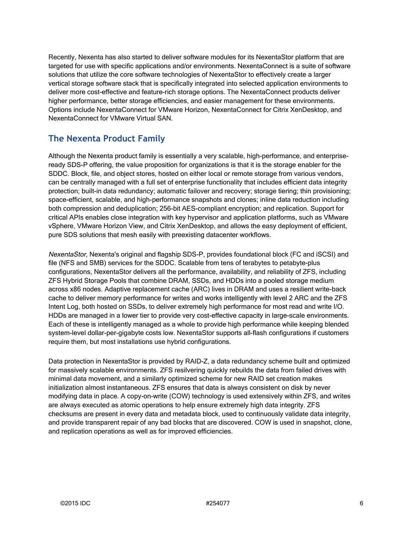Recently, Nexenta has also started to deliver software modules for its NexentaStor platform that are targeted for use with specific applications and/or environments. NexentaConnect is a suite of software solutions that utilize the core software technologies of NexentaStor to effectively create a larger vertical storage software stack that is specifically integrated into selected application environments to deliver more cost-effective and feature-rich storage options. The NexentaConnect products deliver higher performance, better storage efficiencies, and easier management for these environments. Options include NexentaConnect for VMware Horizon, NexentaConnect for Citrix XenDesktop, and NexentaConnect for VMware Virtual SAN.

## The Nexenta Product Family

Although the Nexenta product family is essentially a very scalable, high-performance, and enterpriseready SDS-P offering, the value proposition for organizations is that it is the storage enabler for the SDDC. Block, file, and object stores, hosted on either local or remote storage from various vendors, can be centrally managed with a full set of enterprise functionality that includes efficient data integrity protection; built-in data redundancy; automatic failover and recovery; storage tiering; thin provisioning; space-efficient, scalable, and high-performance snapshots and clones; inline data reduction including both compression and deduplication; 256-bit AES-compliant encryption; and replication. Support for critical APIs enables close integration with key hypervisor and application platforms, such as VMware vSphere, VMware Horizon View, and Citrix XenDesktop, and allows the easy deployment of efficient, pure SDS solutions that mesh easily with preexisting datacenter workflows.

NexentaStor, Nexenta's original and flagship SDS-P, provides foundational block (FC and iSCSI) and file (NFS and SMB) services for the SDDC. Scalable from tens of terabytes to petabyte-plus configurations, NexentaStor delivers all the performance, availability, and reliability of ZFS, including ZFS Hybrid Storage Pools that combine DRAM, SSDs, and HDDs into a pooled storage medium across x86 nodes. Adaptive replacement cache (ARC) lives in DRAM and uses a resilient write-back cache to deliver memory performance for writes and works intelligently with level 2 ARC and the ZFS Intent Log, both hosted on SSDs, to deliver extremely high performance for most read and write I/O. HDDs are managed in a lower tier to provide very cost-effective capacity in large-scale environments. Each of these is intelligently managed as a whole to provide high performance while keeping blended system-level dollar-per-gigabyte costs low. NexentaStor supports all-flash configurations if customers require them, but most installations use hybrid configurations.

Data protection in NexentaStor is provided by RAID-Z, a data redundancy scheme built and optimized for massively scalable environments. ZFS resilvering quickly rebuilds the data from failed drives with minimal data movement, and a similarly optimized scheme for new RAID set creation makes initialization almost instantaneous. ZFS ensures that data is always consistent on disk by never modifying data in place. A copy-on-write (COW) technology is used extensively within ZFS, and writes are always executed as atomic operations to help ensure extremely high data integrity. ZFS checksums are present in every data and metadata block, used to continuously validate data integrity, and provide transparent repair of any bad blocks that are discovered. COW is used in snapshot, clone, and replication operations as well as for improved efficiencies.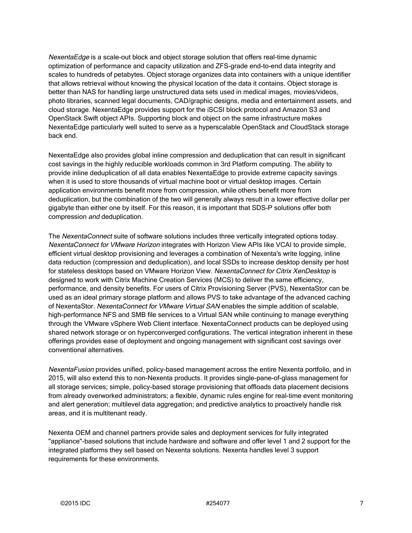NexentaEdge is a scale-out block and object storage solution that offers real-time dynamic optimization of performance and capacity utilization and ZFS-grade end-to-end data integrity and scales to hundreds of petabytes. Object storage organizes data into containers with a unique identifier that allows retrieval without knowing the physical location of the data it contains. Object storage is better than NAS for handling large unstructured data sets used in medical images, movies/videos, photo libraries, scanned legal documents, CAD/graphic designs, media and entertainment assets, and cloud storage. NexentaEdge provides support for the iSCSI block protocol and Amazon S3 and OpenStack Swift object APIs. Supporting block and object on the same infrastructure makes NexentaEdge particularly well suited to serve as a hyperscalable OpenStack and CloudStack storage back end.

NexentaEdge also provides global inline compression and deduplication that can result in significant cost savings in the highly reducible workloads common in 3rd Platform computing. The ability to provide inline deduplication of all data enables NexentaEdge to provide extreme capacity savings when it is used to store thousands of virtual machine boot or virtual desktop images. Certain application environments benefit more from compression, while others benefit more from deduplication, but the combination of the two will generally always result in a lower effective dollar per gigabyte than either one by itself. For this reason, it is important that SDS-P solutions offer both compression and deduplication.

The NexentaConnect suite of software solutions includes three vertically integrated options today. NexentaConnect for VMware Horizon integrates with Horizon View APIs like VCAI to provide simple, efficient virtual desktop provisioning and leverages a combination of Nexenta's write logging, inline data reduction (compression and deduplication), and local SSDs to increase desktop density per host for stateless desktops based on VMware Horizon View. NexentaConnect for Citrix XenDesktop is designed to work with Citrix Machine Creation Services (MCS) to deliver the same efficiency, performance, and density benefits. For users of Citrix Provisioning Server (PVS), NexentaStor can be used as an ideal primary storage platform and allows PVS to take advantage of the advanced caching of NexentaStor. NexentaConnect for VMware Virtual SAN enables the simple addition of scalable, high-performance NFS and SMB file services to a Virtual SAN while continuing to manage everything through the VMware vSphere Web Client interface. NexentaConnect products can be deployed using shared network storage or on hyperconverged configurations. The vertical integration inherent in these offerings provides ease of deployment and ongoing management with significant cost savings over conventional alternatives.

NexentaFusion provides unified, policy-based management across the entire Nexenta portfolio, and in 2015, will also extend this to non-Nexenta products. It provides single-pane-of-glass management for all storage services; simple, policy-based storage provisioning that offloads data placement decisions from already overworked administrators; a flexible, dynamic rules engine for real-time event monitoring and alert generation; multilevel data aggregation; and predictive analytics to proactively handle risk areas, and it is multitenant ready.

Nexenta OEM and channel partners provide sales and deployment services for fully integrated "appliance"-based solutions that include hardware and software and offer level 1 and 2 support for the integrated platforms they sell based on Nexenta solutions. Nexenta handles level 3 support requirements for these environments.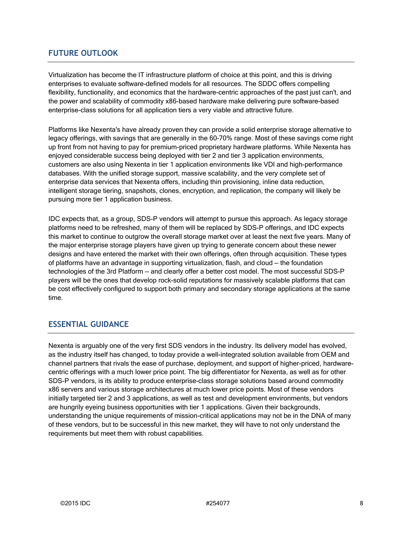#### FUTURE OUTLOOK

Virtualization has become the IT infrastructure platform of choice at this point, and this is driving enterprises to evaluate software-defined models for all resources. The SDDC offers compelling flexibility, functionality, and economics that the hardware-centric approaches of the past just can't, and the power and scalability of commodity x86-based hardware make delivering pure software-based enterprise-class solutions for all application tiers a very viable and attractive future.

Platforms like Nexenta's have already proven they can provide a solid enterprise storage alternative to legacy offerings, with savings that are generally in the 60–70% range. Most of these savings come right up front from not having to pay for premium-priced proprietary hardware platforms. While Nexenta has enjoyed considerable success being deployed with tier 2 and tier 3 application environments, customers are also using Nexenta in tier 1 application environments like VDI and high-performance databases. With the unified storage support, massive scalability, and the very complete set of enterprise data services that Nexenta offers, including thin provisioning, inline data reduction, intelligent storage tiering, snapshots, clones, encryption, and replication, the company will likely be pursuing more tier 1 application business.

IDC expects that, as a group, SDS-P vendors will attempt to pursue this approach. As legacy storage platforms need to be refreshed, many of them will be replaced by SDS-P offerings, and IDC expects this market to continue to outgrow the overall storage market over at least the next five years. Many of the major enterprise storage players have given up trying to generate concern about these newer designs and have entered the market with their own offerings, often through acquisition. These types of platforms have an advantage in supporting virtualization, flash, and cloud — the foundation technologies of the 3rd Platform — and clearly offer a better cost model. The most successful SDS-P players will be the ones that develop rock-solid reputations for massively scalable platforms that can be cost effectively configured to support both primary and secondary storage applications at the same time.

#### ESSENTIAL GUIDANCE

Nexenta is arguably one of the very first SDS vendors in the industry. Its delivery model has evolved, as the industry itself has changed, to today provide a well-integrated solution available from OEM and channel partners that rivals the ease of purchase, deployment, and support of higher-priced, hardwarecentric offerings with a much lower price point. The big differentiator for Nexenta, as well as for other SDS-P vendors, is its ability to produce enterprise-class storage solutions based around commodity x86 servers and various storage architectures at much lower price points. Most of these vendors initially targeted tier 2 and 3 applications, as well as test and development environments, but vendors are hungrily eyeing business opportunities with tier 1 applications. Given their backgrounds, understanding the unique requirements of mission-critical applications may not be in the DNA of many of these vendors, but to be successful in this new market, they will have to not only understand the requirements but meet them with robust capabilities.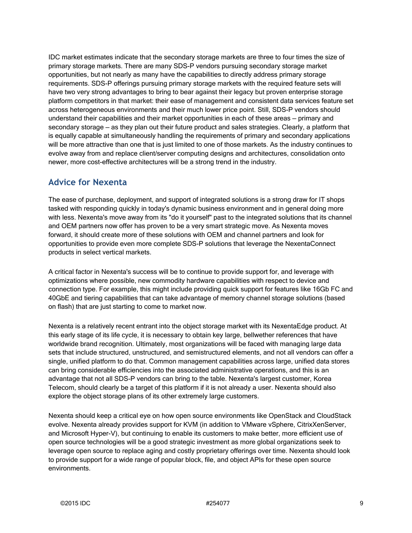IDC market estimates indicate that the secondary storage markets are three to four times the size of primary storage markets. There are many SDS-P vendors pursuing secondary storage market opportunities, but not nearly as many have the capabilities to directly address primary storage requirements. SDS-P offerings pursuing primary storage markets with the required feature sets will have two very strong advantages to bring to bear against their legacy but proven enterprise storage platform competitors in that market: their ease of management and consistent data services feature set across heterogeneous environments and their much lower price point. Still, SDS-P vendors should understand their capabilities and their market opportunities in each of these areas — primary and secondary storage – as they plan out their future product and sales strategies. Clearly, a platform that is equally capable at simultaneously handling the requirements of primary and secondary applications will be more attractive than one that is just limited to one of those markets. As the industry continues to evolve away from and replace client/server computing designs and architectures, consolidation onto newer, more cost-effective architectures will be a strong trend in the industry.

### Advice for Nexenta

The ease of purchase, deployment, and support of integrated solutions is a strong draw for IT shops tasked with responding quickly in today's dynamic business environment and in general doing more with less. Nexenta's move away from its "do it yourself" past to the integrated solutions that its channel and OEM partners now offer has proven to be a very smart strategic move. As Nexenta moves forward, it should create more of these solutions with OEM and channel partners and look for opportunities to provide even more complete SDS-P solutions that leverage the NexentaConnect products in select vertical markets.

A critical factor in Nexenta's success will be to continue to provide support for, and leverage with optimizations where possible, new commodity hardware capabilities with respect to device and connection type. For example, this might include providing quick support for features like 16Gb FC and 40GbE and tiering capabilities that can take advantage of memory channel storage solutions (based on flash) that are just starting to come to market now.

Nexenta is a relatively recent entrant into the object storage market with its NexentaEdge product. At this early stage of its life cycle, it is necessary to obtain key large, bellwether references that have worldwide brand recognition. Ultimately, most organizations will be faced with managing large data sets that include structured, unstructured, and semistructured elements, and not all vendors can offer a single, unified platform to do that. Common management capabilities across large, unified data stores can bring considerable efficiencies into the associated administrative operations, and this is an advantage that not all SDS-P vendors can bring to the table. Nexenta's largest customer, Korea Telecom, should clearly be a target of this platform if it is not already a user. Nexenta should also explore the object storage plans of its other extremely large customers.

Nexenta should keep a critical eye on how open source environments like OpenStack and CloudStack evolve. Nexenta already provides support for KVM (in addition to VMware vSphere, CitrixXenServer, and Microsoft Hyper-V), but continuing to enable its customers to make better, more efficient use of open source technologies will be a good strategic investment as more global organizations seek to leverage open source to replace aging and costly proprietary offerings over time. Nexenta should look to provide support for a wide range of popular block, file, and object APIs for these open source environments.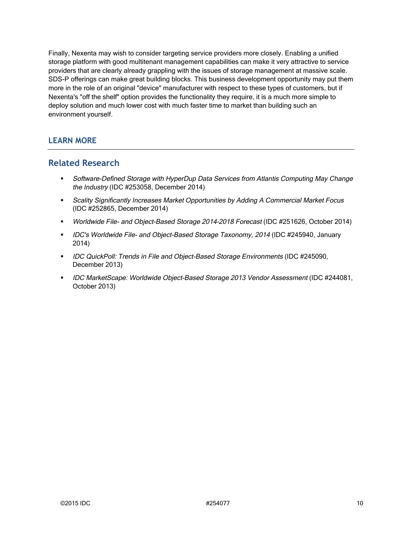Finally, Nexenta may wish to consider targeting service providers more closely. Enabling a unified storage platform with good multitenant management capabilities can make it very attractive to service providers that are clearly already grappling with the issues of storage management at massive scale. SDS-P offerings can make great building blocks. This business development opportunity may put them more in the role of an original "device" manufacturer with respect to these types of customers, but if Nexenta's "off the shelf" option provides the functionality they require, it is a much more simple to deploy solution and much lower cost with much faster time to market than building such an environment yourself.

#### LEARN MORE

#### Related Research

- Software-Defined Storage with HyperDup Data Services from Atlantis Computing May Change the Industry (IDC #253058, December 2014)
- Scality Significantly Increases Market Opportunities by Adding A Commercial Market Focus (IDC #252865, December 2014)
- **Worldwide File- and Object-Based Storage 2014-2018 Forecast (IDC #251626, October 2014)**
- **IDC's Worldwide File- and Object-Based Storage Taxonomy, 2014 (IDC #245940, January** 2014)
- **IDC QuickPoll: Trends in File and Object-Based Storage Environments (IDC #245090,** December 2013)
- **IDC MarketScape: Worldwide Object-Based Storage 2013 Vendor Assessment (IDC #244081,** October 2013)